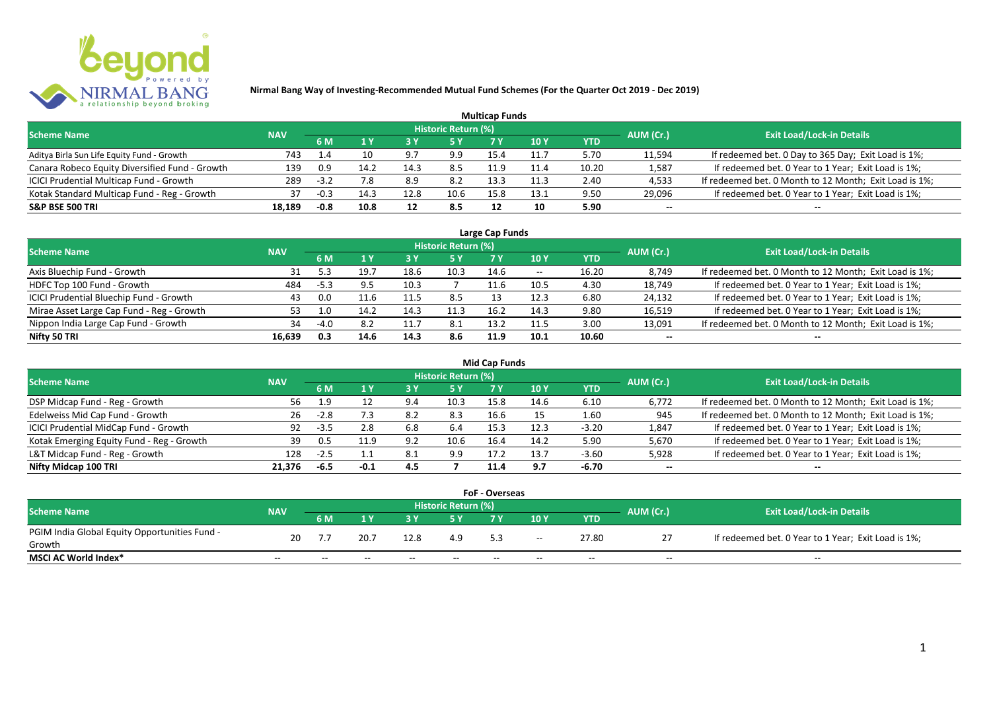

|                                                |            |        |      |      |                            | <b>Multicap Funds</b> |                 |            |           |                                                        |
|------------------------------------------------|------------|--------|------|------|----------------------------|-----------------------|-----------------|------------|-----------|--------------------------------------------------------|
| <b>Scheme Name</b>                             | <b>NAV</b> |        |      |      | <b>Historic Return (%)</b> |                       |                 |            | AUM (Cr.) | <b>Exit Load/Lock-in Details</b>                       |
|                                                |            | 6 M    |      | 73 Y |                            |                       | 10 <sub>Y</sub> | <b>YTD</b> |           |                                                        |
| Aditya Birla Sun Life Equity Fund - Growth     | 743        | 1.4    | 10   | 9.7  | 9.9                        | 15.4                  | 11.7            | 5.70       | 11,594    | If redeemed bet. 0 Day to 365 Day; Exit Load is 1%;    |
| Canara Robeco Equity Diversified Fund - Growth | 139        | 0.9    | 14.2 | 14.3 | 8.5                        | 11.9                  |                 | 10.20      | 1,587     | If redeemed bet. 0 Year to 1 Year; Exit Load is 1%;    |
| ICICI Prudential Multicap Fund - Growth        | 289        | $-3.2$ |      | 8.9  | 8.2                        | 13.3                  | 11.3            | 2.40       | 4,533     | If redeemed bet. 0 Month to 12 Month; Exit Load is 1%; |
| Kotak Standard Multicap Fund - Reg - Growth    | 37         | $-0.3$ | 14.3 | 12.8 | 10.6                       | 15.8                  | 13.1            | 9.50       | 29,096    | If redeemed bet. 0 Year to 1 Year; Exit Load is 1%;    |
| <b>S&amp;P BSE 500 TRI</b>                     | 18,189     | $-0.8$ | 10.8 | 12   | 8.5                        | 12                    | 10              | 5.90       | $- -$     | --                                                     |

| Large Cap Funds                           |            |        |      |      |                            |      |            |       |           |                                                        |  |  |  |
|-------------------------------------------|------------|--------|------|------|----------------------------|------|------------|-------|-----------|--------------------------------------------------------|--|--|--|
| <b>Scheme Name</b>                        | <b>NAV</b> |        |      |      | <b>Historic Return (%)</b> |      |            |       | AUM (Cr.) | <b>Exit Load/Lock-in Details</b>                       |  |  |  |
|                                           |            | 6 M    |      |      | 5 Y                        |      | <b>10Y</b> | YTD   |           |                                                        |  |  |  |
| Axis Bluechip Fund - Growth               | 31         |        | 19.7 | 18.6 | 10.3                       | 14.6 | $- -$      | 16.20 | 8,749     | If redeemed bet. 0 Month to 12 Month; Exit Load is 1%; |  |  |  |
| HDFC Top 100 Fund - Growth                | 484        | $-5.3$ | 9.5  | 10.3 |                            | 11.6 | 10.5       | 4.30  | 18,749    | If redeemed bet. 0 Year to 1 Year; Exit Load is 1%;    |  |  |  |
| ICICI Prudential Bluechip Fund - Growth   | 43         | 0.0    | 11.6 |      | 8.5                        |      | 12.3       | 6.80  | 24,132    | If redeemed bet. 0 Year to 1 Year; Exit Load is 1%;    |  |  |  |
| Mirae Asset Large Cap Fund - Reg - Growth | 53.        | 1.0    | 14.2 | 14.3 | 11.3                       | 16.2 | 14.3       | 9.80  | 16,519    | If redeemed bet. 0 Year to 1 Year; Exit Load is 1%;    |  |  |  |
| Nippon India Large Cap Fund - Growth      | 34         | $-4.0$ | 8.2  |      | 8.1                        | 13.2 | 11.5       | 3.00  | 13,091    | If redeemed bet. 0 Month to 12 Month; Exit Load is 1%; |  |  |  |
| Nifty 50 TRI                              | 16.639     | 0.3    | 14.6 | 14.3 | 8.6                        | 11.9 | 10.1       | 10.60 | $- -$     | $- -$                                                  |  |  |  |

|                                           |            |        |        |     |                            | Mid Cap Funds |      |            |           |                                                        |
|-------------------------------------------|------------|--------|--------|-----|----------------------------|---------------|------|------------|-----------|--------------------------------------------------------|
| <b>Scheme Name</b>                        | <b>NAV</b> |        |        |     | <b>Historic Return (%)</b> |               |      |            | AUM (Cr.) | <b>Exit Load/Lock-in Details</b>                       |
|                                           |            | 6 M    |        |     | 5 Y                        | 7 Y           | 10 Y | <b>YTD</b> |           |                                                        |
| DSP Midcap Fund - Reg - Growth            | 56.        | -1.9   |        | 9.4 | 10.3                       | 15.8          | 14.6 | 6.10       | 6,772     | If redeemed bet. 0 Month to 12 Month; Exit Load is 1%; |
| Edelweiss Mid Cap Fund - Growth           | 26         | $-2.8$ | 7.3    | 8.2 | 8.3                        | 16.6          |      | 1.60       | 945       | If redeemed bet. 0 Month to 12 Month; Exit Load is 1%; |
| ICICI Prudential MidCap Fund - Growth     | 92         | -3.5   | 2.8    | 6.8 | 6.4                        | 15.3          | 12.3 | $-3.20$    | 1,847     | If redeemed bet. 0 Year to 1 Year; Exit Load is 1%;    |
| Kotak Emerging Equity Fund - Reg - Growth | 39         | 0.5    |        | 9.2 | 10.6                       | 16.4          | 14.2 | 5.90       | 5,670     | If redeemed bet. 0 Year to 1 Year; Exit Load is 1%;    |
| L&T Midcap Fund - Reg - Growth            | 128        | -2.5   |        | 8.1 | 9.9                        | 17.2          | 13.7 | $-3.60$    | 5,928     | If redeemed bet. 0 Year to 1 Year; Exit Load is 1%;    |
| Nifty Midcap 100 TRI                      | 21.376     | -6.5   | $-0.1$ | 4.5 |                            | 11.4          | 9.7  | -6.70      | $- -$     | $- -$                                                  |

|                                               |            |       |       |       |                     | <b>FoF - Overseas</b> |       |       |           |                                                     |
|-----------------------------------------------|------------|-------|-------|-------|---------------------|-----------------------|-------|-------|-----------|-----------------------------------------------------|
| <b>Scheme Name</b>                            | <b>NAV</b> |       |       |       | Historic Return (%) |                       |       |       | AUM (Cr.) | <b>Exit Load/Lock-in Details</b>                    |
|                                               |            | 6 M   |       |       |                     |                       | 10Y   | YTD   |           |                                                     |
| PGIM India Global Equity Opportunities Fund - | 20         |       | 20.7  | 12.8  | 4.9                 |                       | $- -$ | 27.80 |           | If redeemed bet. 0 Year to 1 Year; Exit Load is 1%; |
| Growth                                        |            |       |       |       |                     |                       |       |       |           |                                                     |
| <b>MSCI AC World Index*</b>                   | $- -$      | $- -$ | $- -$ | $- -$ | $- -$               | $-$                   | $- -$ | $- -$ | $- -$     | $- -$                                               |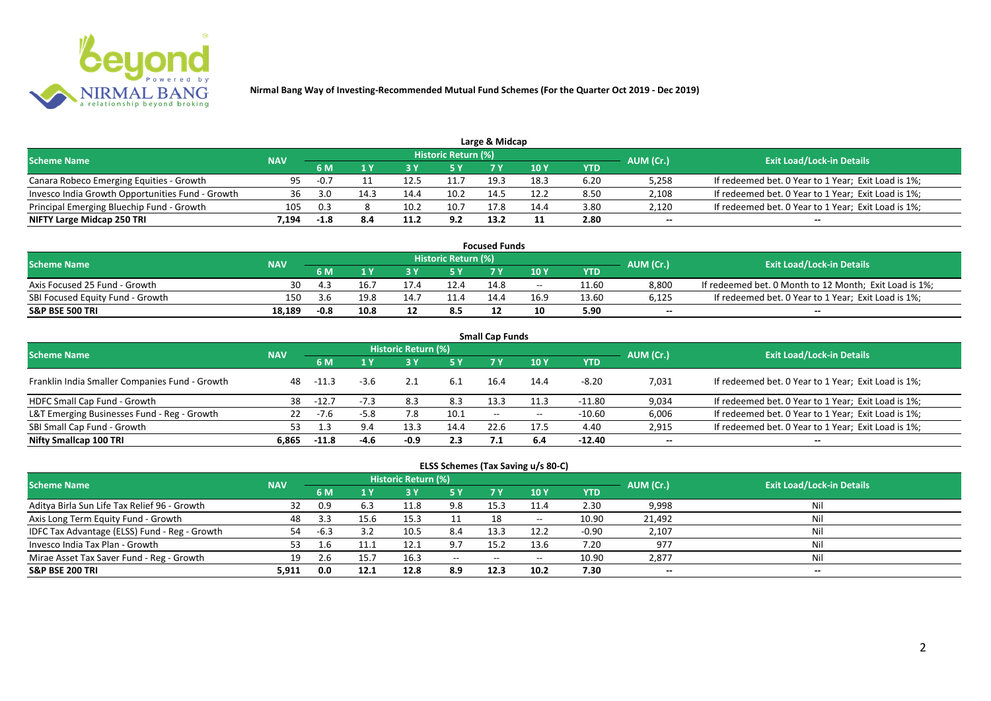

| <b>Scheme Name</b>                               | <b>NAV</b> |        |      |      | Historic Return (%) |      |      |      | AUM (Cr.) | <b>Exit Load/Lock-in Details</b>                    |
|--------------------------------------------------|------------|--------|------|------|---------------------|------|------|------|-----------|-----------------------------------------------------|
|                                                  |            |        |      |      | 5 Y                 |      |      | YTD  |           |                                                     |
| Canara Robeco Emerging Equities - Growth         | 95.        | $-0.7$ |      | 12.5 |                     | 19.5 | 18.3 | 6.20 | 5,258     | If redeemed bet. 0 Year to 1 Year; Exit Load is 1%; |
| Invesco India Growth Opportunities Fund - Growth | 36         | 3.0    | 14.3 | ، 14 | 10.2                | 14.  | 12.2 | 8.50 | 2,108     | If redeemed bet. 0 Year to 1 Year; Exit Load is 1%; |
| Principal Emerging Bluechip Fund - Growth        | 105        | 0.3    |      | 10.2 | 10.7                | 17.8 | 14.4 | 3.80 | 2,120     | If redeemed bet. 0 Year to 1 Year; Exit Load is 1%; |
| NIFTY Large Midcap 250 TRI                       | 1.194      | $-1.8$ |      |      | 9.2                 | 13.2 |      | 2.80 | $- -$     | $-$                                                 |

| <b>Focused Funds</b>             |            |        |      |  |                            |      |            |       |           |                                                        |  |  |  |
|----------------------------------|------------|--------|------|--|----------------------------|------|------------|-------|-----------|--------------------------------------------------------|--|--|--|
| <b>Scheme Name</b>               | <b>NAV</b> |        |      |  | <b>Historic Return (%)</b> |      |            |       | AUM (Cr.) | <b>Exit Load/Lock-in Details</b>                       |  |  |  |
|                                  |            | 6 M    |      |  | 5 Y                        |      | <b>10Y</b> | YTD   |           |                                                        |  |  |  |
| Axis Focused 25 Fund - Growth    | 30         | " 4    | 16., |  | 12.4                       | 14.8 | $- -$      | 11.60 | 8.800     | If redeemed bet. 0 Month to 12 Month; Exit Load is 1%; |  |  |  |
| SBI Focused Equity Fund - Growth | 150        | 3.6    | 19.8 |  |                            | 14 A | 16.9       | 13.60 | 6,125     | If redeemed bet. 0 Year to 1 Year; Exit Load is 1%;    |  |  |  |
| <b>S&amp;P BSE 500 TRI</b>       | 18.189     | $-0.8$ | 10.8 |  | 8.5                        |      |            | 5.90  | $- -$     | $- -$                                                  |  |  |  |

|                                                |            |         |        |                     |      | <b>Small Cap Funds</b> |       |            |           |                                                     |
|------------------------------------------------|------------|---------|--------|---------------------|------|------------------------|-------|------------|-----------|-----------------------------------------------------|
| <b>Scheme Name</b>                             | <b>NAV</b> |         |        | Historic Return (%) |      |                        |       |            | AUM (Cr.) | <b>Exit Load/Lock-in Details</b>                    |
|                                                |            | 6 M     | 1 Y    | <b>3Y</b>           | 5 Y  | 7 Y                    | 10Y   | <b>YTD</b> |           |                                                     |
| Franklin India Smaller Companies Fund - Growth | 48         | $-11.3$ | -3.6   |                     | 6.1  | 16.4                   | 14.4  | -8.20      | 7,031     | If redeemed bet. 0 Year to 1 Year; Exit Load is 1%; |
| HDFC Small Cap Fund - Growth                   | 38         | $-12.7$ |        | 8.3                 | 8.3  | 13.3                   | 11.3  | $-11.80$   | 9,034     | If redeemed bet. 0 Year to 1 Year; Exit Load is 1%; |
| L&T Emerging Businesses Fund - Reg - Growth    | 22         | -7.6    | $-5.8$ | 7.8                 | 10.1 | $- -$                  | $- -$ | $-10.60$   | 6,006     | If redeemed bet. 0 Year to 1 Year; Exit Load is 1%; |
| SBI Small Cap Fund - Growth                    | 53         |         |        | 13.3                | 14.4 | 22.6                   | 17.5  | 4.40       | 2,915     | If redeemed bet. 0 Year to 1 Year; Exit Load is 1%; |
| Nifty Smallcap 100 TRI                         | 6.865      | $-11.8$ | $-4.6$ | $-0.9$              | 2.3  | 7.1                    | -6.4  | $-12.40$   | $- -$     | $- -$                                               |

|                                               |            |        |      |                            |               |            | ELSS Schemes (Tax Saving u/s 80-C) |         |           |                                  |  |
|-----------------------------------------------|------------|--------|------|----------------------------|---------------|------------|------------------------------------|---------|-----------|----------------------------------|--|
| <b>Scheme Name</b>                            | <b>NAV</b> |        |      | <b>Historic Return (%)</b> |               |            |                                    |         | AUM (Cr.) | <b>Exit Load/Lock-in Details</b> |  |
|                                               |            | 6 M    | 1 Y  | 3 Y                        | 75 Y.         | <b>7 Y</b> | 10 <sub>Y</sub>                    | YTD     |           |                                  |  |
| Aditya Birla Sun Life Tax Relief 96 - Growth  | 32         | 0.9    | 6.3  | 11.8                       | 9.8           | 15.3       | 11.4                               | 2.30    | 9,998     | Nil                              |  |
| Axis Long Term Equity Fund - Growth           | 48         | 3.3    | 15.6 | 15.3                       | 11            |            | $\overline{\phantom{a}}$           | 10.90   | 21,492    | Nil                              |  |
| IDFC Tax Advantage (ELSS) Fund - Reg - Growth | 54         | $-6.3$ | 3.2  | 10.5                       | 8.4           | 13.3       | 12.2                               | $-0.90$ | 2,107     | Nil                              |  |
| Invesco India Tax Plan - Growth               | 53         | 1.6    |      | 12.1                       | 9.7           | 15.2       | 13.6                               | 7.20    | 977       | Nil                              |  |
| Mirae Asset Tax Saver Fund - Reg - Growth     | 19         | 2.6    | 15.7 | 16.3                       | $\sim$ $\sim$ | $- -$      |                                    | 10.90   | 2,877     | Nil                              |  |
| S&P BSE 200 TRI                               | 5.911      | 0.0    | 12.1 | 12.8                       | 8.9           | 12.3       | 10.2                               | 7.30    | $- -$     | $- -$                            |  |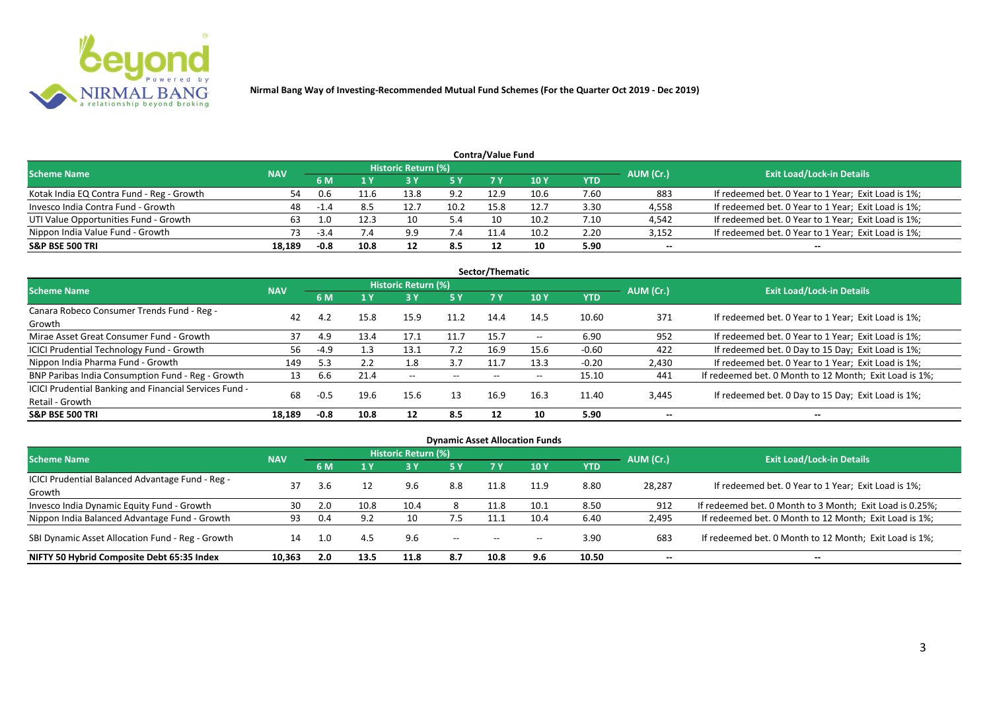

|                                           |            |        |      |                     |      | <b>Contra/Value Fund</b> |      |            |                          |                                                     |
|-------------------------------------------|------------|--------|------|---------------------|------|--------------------------|------|------------|--------------------------|-----------------------------------------------------|
| <b>Scheme Name</b>                        | <b>NAV</b> |        |      | Historic Return (%) |      |                          |      |            | AUM (Cr.)                | <b>Exit Load/Lock-in Details</b>                    |
|                                           |            | 6 M    | 1 Y  |                     | 5 Y  | 7 Y                      | 10Y  | <b>YTD</b> |                          |                                                     |
| Kotak India EQ Contra Fund - Reg - Growth | 54         |        |      | 13.8                | 9.2  | 12.9                     | 10.6 | 7.60       | 883                      | If redeemed bet. 0 Year to 1 Year; Exit Load is 1%; |
| Invesco India Contra Fund - Growth        | 48         | $-1.4$ | 8.5  | 12.                 | 10.2 | 15.8                     | 12.7 | 3.30       | 4,558                    | If redeemed bet. 0 Year to 1 Year; Exit Load is 1%; |
| UTI Value Opportunities Fund - Growth     | 63         | 1.0    | 12.3 |                     | 5.4  |                          | 10.2 | 7.10       | 4,542                    | If redeemed bet. 0 Year to 1 Year; Exit Load is 1%; |
| Nippon India Value Fund - Growth          | 73         | $-3.4$ |      | 9.9                 | 7.4  |                          | 10.2 | 2.20       | 3,152                    | If redeemed bet. 0 Year to 1 Year; Exit Load is 1%; |
| <b>S&amp;P BSE 500 TRI</b>                | 18,189     | -0.8   | 10.8 |                     | 8.5  |                          | 10   | 5.90       | $\overline{\phantom{a}}$ | --                                                  |

|                                                        |            |        |      |                     |       | Sector/Thematic |                          |         |                          |                                                        |
|--------------------------------------------------------|------------|--------|------|---------------------|-------|-----------------|--------------------------|---------|--------------------------|--------------------------------------------------------|
| <b>Scheme Name</b>                                     | <b>NAV</b> |        |      | Historic Return (%) |       |                 |                          |         | AUM (Cr.)                | <b>Exit Load/Lock-in Details</b>                       |
|                                                        |            | 6 M    | 1 Y  | 3 Y                 | 5 Y   | 7 Y             | <b>10Y</b>               | YTD     |                          |                                                        |
| Canara Robeco Consumer Trends Fund - Reg -             | 42         | 4.2    | 15.8 | 15.9                | 11.2  | 14.4            | 14.5                     | 10.60   | 371                      | If redeemed bet. 0 Year to 1 Year; Exit Load is 1%;    |
| Growth                                                 |            |        |      |                     |       |                 |                          |         |                          |                                                        |
| Mirae Asset Great Consumer Fund - Growth               | 37         | 4.9    | 13.4 | 17.1                |       | 15.7            | $\overline{\phantom{a}}$ | 6.90    | 952                      | If redeemed bet. 0 Year to 1 Year; Exit Load is 1%;    |
| <b>ICICI Prudential Technology Fund - Growth</b>       | 56         | $-4.9$ | 1.3  | 13.1                | 7.2   | 16.9            | 15.6                     | $-0.60$ | 422                      | If redeemed bet. 0 Day to 15 Day; Exit Load is 1%;     |
| Nippon India Pharma Fund - Growth                      | 149        | 5.3    |      | 1.8                 | 3.7   |                 | 13.3                     | $-0.20$ | 2,430                    | If redeemed bet. 0 Year to 1 Year; Exit Load is 1%;    |
| BNP Paribas India Consumption Fund - Reg - Growth      | 13         | 6.6    | 21.4 | $- -$               | $- -$ | $- -$           | $\overline{\phantom{m}}$ | 15.10   | 441                      | If redeemed bet. 0 Month to 12 Month; Exit Load is 1%; |
| ICICI Prudential Banking and Financial Services Fund - | 68         | $-0.5$ |      | 15.6                | 13    | 16.9            | 16.3                     | 11.40   |                          |                                                        |
| Retail - Growth                                        |            |        | 19.6 |                     |       |                 |                          |         | 3,445                    | If redeemed bet. 0 Day to 15 Day; Exit Load is 1%;     |
| <b>S&amp;P BSE 500 TRI</b>                             | 18,189     | $-0.8$ | 10.8 | 12                  | 8.5   | 12              | 10                       | 5.90    | $\overline{\phantom{a}}$ | --                                                     |

| <b>Dynamic Asset Allocation Funds</b>            |            |           |                      |                     |                          |      |            |            |           |                                                          |  |  |  |  |
|--------------------------------------------------|------------|-----------|----------------------|---------------------|--------------------------|------|------------|------------|-----------|----------------------------------------------------------|--|--|--|--|
| Scheme Name                                      | <b>NAV</b> |           |                      | Historic Return (%) |                          |      |            |            | AUM (Cr.) | <b>Exit Load/Lock-in Details</b>                         |  |  |  |  |
|                                                  |            | <b>6M</b> | $\sqrt{1}$ $\sqrt{}$ | <b>3 Y</b>          | <b>5 Y</b>               | 7 Y  | <b>10Y</b> | <b>YTD</b> |           |                                                          |  |  |  |  |
| ICICI Prudential Balanced Advantage Fund - Reg - |            | 3.6       | 12                   | 9.6                 | 8.8                      | 11.8 | 11.9       | 8.80       | 28,287    | If redeemed bet. 0 Year to 1 Year; Exit Load is 1%;      |  |  |  |  |
| Growth                                           |            |           |                      |                     |                          |      |            |            |           |                                                          |  |  |  |  |
| Invesco India Dynamic Equity Fund - Growth       | 30         | 2.0       | 10.8                 | 10.4                |                          | 11.8 | 10.1       | 8.50       | 912       | If redeemed bet. 0 Month to 3 Month; Exit Load is 0.25%; |  |  |  |  |
| Nippon India Balanced Advantage Fund - Growth    | 93         | 0.4       | 9.2                  | 10                  | 7.5                      | 11.1 | 10.4       | 6.40       | 2,495     | If redeemed bet. 0 Month to 12 Month; Exit Load is 1%;   |  |  |  |  |
| SBI Dynamic Asset Allocation Fund - Reg - Growth | 14         | -1.0      | 4.5                  | 9.6                 | $\overline{\phantom{a}}$ | $-$  | $- -$      | 3.90       | 683       | If redeemed bet. 0 Month to 12 Month; Exit Load is 1%;   |  |  |  |  |
| NIFTY 50 Hybrid Composite Debt 65:35 Index       | 10.363     | 2.0       | 13.5                 | 11.8                | 8.7                      | 10.8 | 9.6        | 10.50      | $- -$     | $- -$                                                    |  |  |  |  |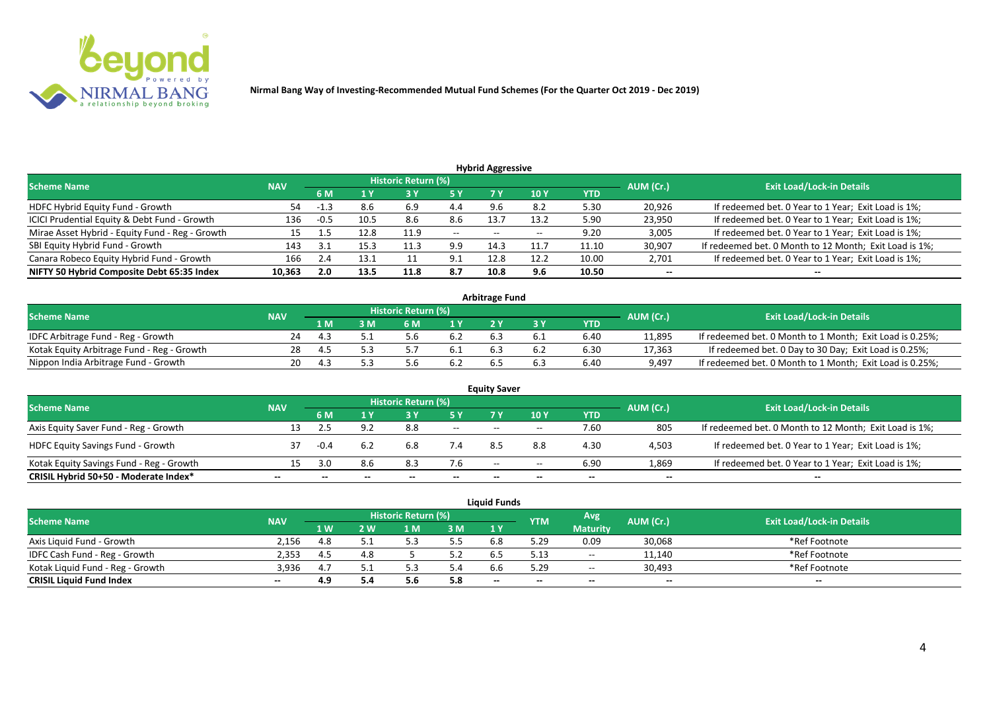

|                                                 |            |        |      |                            |                       | <b>Hybrid Aggressive</b> |                 |       |           |                                                        |
|-------------------------------------------------|------------|--------|------|----------------------------|-----------------------|--------------------------|-----------------|-------|-----------|--------------------------------------------------------|
| <b>Scheme Name</b>                              | <b>NAV</b> |        |      | <b>Historic Return (%)</b> |                       |                          |                 |       | AUM (Cr.) | <b>Exit Load/Lock-in Details</b>                       |
|                                                 |            | 6 M    |      |                            | 5 Y                   |                          | 10 <sub>1</sub> | YTD   |           |                                                        |
| HDFC Hybrid Equity Fund - Growth                | 54         | -1.3   | 8.6  | 6.9                        | 4.4                   |                          | 8.2             | 5.30  | 20,926    | If redeemed bet. 0 Year to 1 Year; Exit Load is 1%;    |
| ICICI Prudential Equity & Debt Fund - Growth    | 136        | $-0.5$ | 10.5 | 8.6                        | 8.6                   | 13.                      | 13.2            | 5.90  | 23,950    | If redeemed bet. 0 Year to 1 Year; Exit Load is 1%;    |
| Mirae Asset Hybrid - Equity Fund - Reg - Growth | 15         |        | 12.8 | 11.9                       | $- -$                 | $\overline{\phantom{a}}$ | $- -$           | 9.20  | 3,005     | If redeemed bet. 0 Year to 1 Year; Exit Load is 1%;    |
| SBI Equity Hybrid Fund - Growth                 | 143        | ີ      | 15.3 | 11.3                       | 9.9                   | 14.3                     | 11.7            | 11.10 | 30,907    | If redeemed bet. 0 Month to 12 Month; Exit Load is 1%; |
| Canara Robeco Equity Hybrid Fund - Growth       | 166        | 2.4    | 13.1 |                            | Q <sub>1</sub><br>ン・エ | 12.8                     | 12.2            | 10.00 | 2,701     | If redeemed bet. 0 Year to 1 Year; Exit Load is 1%;    |
| NIFTY 50 Hybrid Composite Debt 65:35 Index      | 10,363     | 2.0    | 13.5 | 11.8                       | 8.7                   | 10.8                     | 9.6             | 10.50 | $- -$     | --                                                     |

|                                            |            |     |                     |     | <b>Arbitrage Fund</b> |     |      |           |                                                          |
|--------------------------------------------|------------|-----|---------------------|-----|-----------------------|-----|------|-----------|----------------------------------------------------------|
| <b>Scheme Name</b>                         | <b>NAV</b> |     | Historic Return (%) |     |                       |     |      | AUM (Cr.) | <b>Exit Load/Lock-in Details</b>                         |
|                                            |            | 1 M | ና M                 | 1 V |                       |     | YTD  |           |                                                          |
| IDFC Arbitrage Fund - Reg - Growth         | 24         |     |                     | 6.2 |                       |     | 6.40 | 11,895    | If redeemed bet. 0 Month to 1 Month; Exit Load is 0.25%; |
| Kotak Equity Arbitrage Fund - Reg - Growth | 28         |     |                     | b.1 | 6.3                   | b.Z | 6.30 | 17,363    | If redeemed bet. 0 Day to 30 Day; Exit Load is 0.25%;    |
| Nippon India Arbitrage Fund - Growth       |            |     |                     |     |                       |     | 6.40 | 9,497     | If redeemed bet. 0 Month to 1 Month; Exit Load is 0.25%; |

|                                          |            |        |     | <b>Historic Return (%)</b> |        | <b>Equity Saver</b> |       |      |           |                                                        |
|------------------------------------------|------------|--------|-----|----------------------------|--------|---------------------|-------|------|-----------|--------------------------------------------------------|
| <b>Scheme Name</b>                       | <b>NAV</b> | 6 M    |     |                            | 5 Y    |                     | 10Y   | YTD  | AUM (Cr.) | <b>Exit Load/Lock-in Details</b>                       |
| Axis Equity Saver Fund - Reg - Growth    | 13         |        |     | 8.8                        | $  \,$ | $- -$               | $- -$ | 7.60 | 805       | If redeemed bet. 0 Month to 12 Month; Exit Load is 1%; |
| <b>HDFC Equity Savings Fund - Growth</b> | 37         | $-0.4$ | 6.2 |                            | 7.4    |                     | 8.8   | 4.30 | 4,503     | If redeemed bet. 0 Year to 1 Year; Exit Load is 1%;    |
| Kotak Equity Savings Fund - Reg - Growth | 15         | ี่ ? N | 8.6 |                            | 7.6    | $-$                 | $- -$ | 6.90 | 1,869     | If redeemed bet. 0 Year to 1 Year; Exit Load is 1%;    |
| CRISIL Hybrid 50+50 - Moderate Index*    | --         |        |     |                            | $- -$  | $- -$               | --    | $-$  | $- -$     | $-$                                                    |

|                                  |            |      |     |                            |     | <b>Liquid Funds</b> |                          |                 |           |                                  |
|----------------------------------|------------|------|-----|----------------------------|-----|---------------------|--------------------------|-----------------|-----------|----------------------------------|
| <b>Scheme Name</b>               | <b>NAV</b> |      |     | <b>Historic Return (%)</b> |     |                     | YTM                      | Avg             | AUM (Cr.) | <b>Exit Load/Lock-in Details</b> |
|                                  |            | 1 W. | ' W | ∣N                         | 3M  | 1Y                  |                          | <b>Maturity</b> |           |                                  |
| Axis Liquid Fund - Growth        | 2.156      | 4.8  |     |                            | 5.5 | 6.8                 | 5.29                     | 0.09            | 30,068    | *Ref Footnote                    |
| IDFC Cash Fund - Reg - Growth    | 2,353      | 4.5  | 4.8 |                            |     | 6.5                 | 5.13                     | $\sim$ $\sim$   | 11,140    | *Ref Footnote                    |
| Kotak Liquid Fund - Reg - Growth | 3,936      | 4.7  |     |                            | 4.د | b.b                 | 5.29                     | $  \,$          | 30,493    | *Ref Footnote                    |
| <b>CRISIL Liquid Fund Index</b>  | $- -$      | 4.9  |     | ס.כ                        | 5.8 | $-$                 | $\overline{\phantom{a}}$ | $-$             | $- -$     | $- -$                            |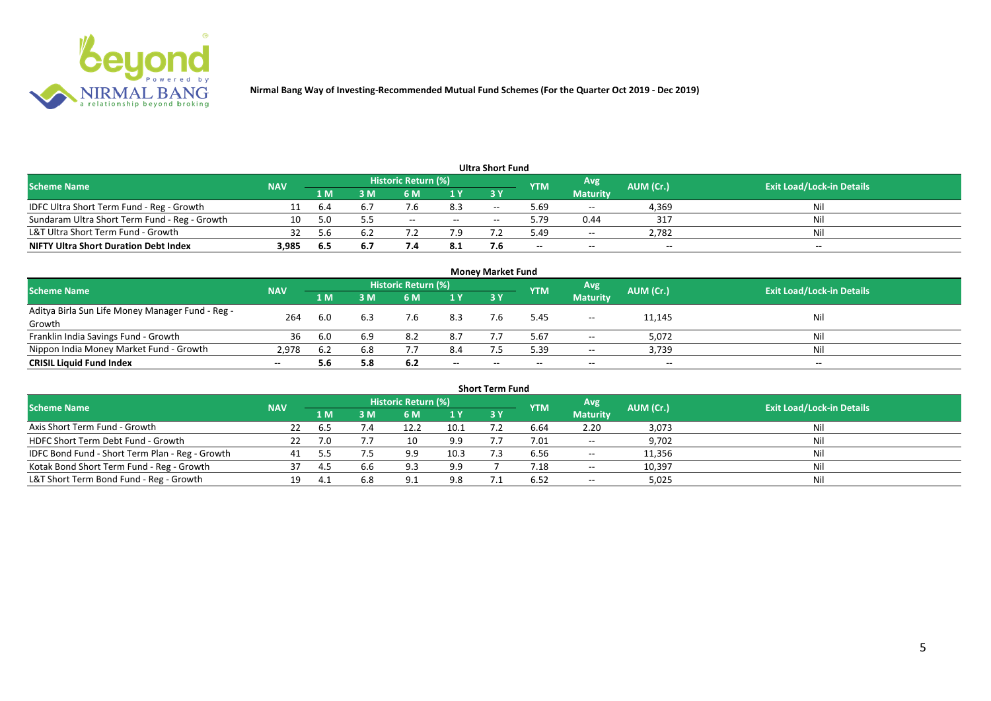

|                                               |            |      |     |                     |       | <b>Ultra Short Fund</b> |            |                 |           |                                  |
|-----------------------------------------------|------------|------|-----|---------------------|-------|-------------------------|------------|-----------------|-----------|----------------------------------|
| <b>Scheme Name</b>                            | <b>NAV</b> |      |     | Historic Return (%) |       |                         | <b>YTM</b> | Avg             | AUM (Cr.) | <b>Exit Load/Lock-in Details</b> |
|                                               |            | '1 M | M   | 6 M                 | 1Y    | <b>3Y</b>               |            | <b>Maturity</b> |           |                                  |
| IDFC Ultra Short Term Fund - Reg - Growth     |            | b.4  | b.7 |                     | 8.3   | $-$                     | 5.69       | $- -$           | 4,369     | Ni                               |
| Sundaram Ultra Short Term Fund - Reg - Growth | 10         |      |     | $- -$               | $- -$ |                         | 5.79       | 0.44            | 317       | Ni                               |
| L&T Ultra Short Term Fund - Growth            | 32         | 5 h  | b.2 |                     | 7.9   |                         | 49.د       | $\sim$ $\sim$   | 2,782     | Nil                              |
| <b>NIFTY Ultra Short Duration Debt Index</b>  | 3,985      | -6.5 | 6.7 |                     | 8.1   |                         | $- -$      | $-$             | $- -$     | $- -$                            |

|                                                  |            |     |     |                     |       | <b>Money Market Fund</b> |            |                 |           |                                  |
|--------------------------------------------------|------------|-----|-----|---------------------|-------|--------------------------|------------|-----------------|-----------|----------------------------------|
| <b>Scheme Name</b>                               | <b>NAV</b> |     |     | Historic Return (%) |       |                          | <b>YTM</b> | Avg.            | AUM (Cr.) | <b>Exit Load/Lock-in Details</b> |
|                                                  |            | 1 M | I M | 6 M                 | 1Y    | 73 Y                     |            | <b>Maturity</b> |           |                                  |
| Aditya Birla Sun Life Money Manager Fund - Reg - | 264        | 6.0 | 6.3 | 7.6                 | 8.3   |                          | 5.45       | $\sim$          | 11,145    | Nil                              |
| Growth                                           |            |     |     |                     |       |                          |            |                 |           |                                  |
| Franklin India Savings Fund - Growth             | 36         | 6.0 | 6.9 | 8.2                 | 8.7   |                          | 5.67       | $- -$           | 5,072     | Nil                              |
| Nippon India Money Market Fund - Growth          | 2.978      | b.∠ | 6.8 |                     | 8.4   |                          | 5.39       | $- -$           | 3,739     | - Nil                            |
| <b>CRISIL Liquid Fund Index</b>                  |            | 5.6 | 5.8 | 6.2                 | $- -$ | $- -$                    | --         | $- -$           | $- -$     | $- -$                            |

|                                                 |            |      |     |                            |      | <b>Short Term Fund</b> |            |                 |           |                                  |
|-------------------------------------------------|------------|------|-----|----------------------------|------|------------------------|------------|-----------------|-----------|----------------------------------|
| <b>Scheme Name</b>                              | <b>NAV</b> |      |     | <b>Historic Return (%)</b> |      |                        | <b>YTM</b> | Avg             | AUM (Cr.) | <b>Exit Load/Lock-in Details</b> |
|                                                 |            | 1 M  | ነ M | 6 M                        | 1Y   | <b>3Y</b>              |            | <b>Maturity</b> |           |                                  |
| Axis Short Term Fund - Growth                   | 22         | .ხ5  |     | 12.2                       | 10.1 |                        | 6.64       | 2.20            | 3,073     | Nil                              |
| HDFC Short Term Debt Fund - Growth              |            |      |     |                            | 9.9  |                        | 7.01       | $--$            | 9,702     | Nil                              |
| IDFC Bond Fund - Short Term Plan - Reg - Growth | 41         |      |     |                            | 10.3 |                        | 6.56       | $\sim$          | 11,356    | Nil                              |
| Kotak Bond Short Term Fund - Reg - Growth       | 37         | 4.5  | 6.6 | 9.3                        | 9.9  |                        | 7.18       | $---$           | 10,397    | Nil                              |
| L&T Short Term Bond Fund - Reg - Growth         | 19.        | -4.1 | 6.8 |                            | 9.8  |                        | 6.52       | $  \,$          | 5,025     | Nil                              |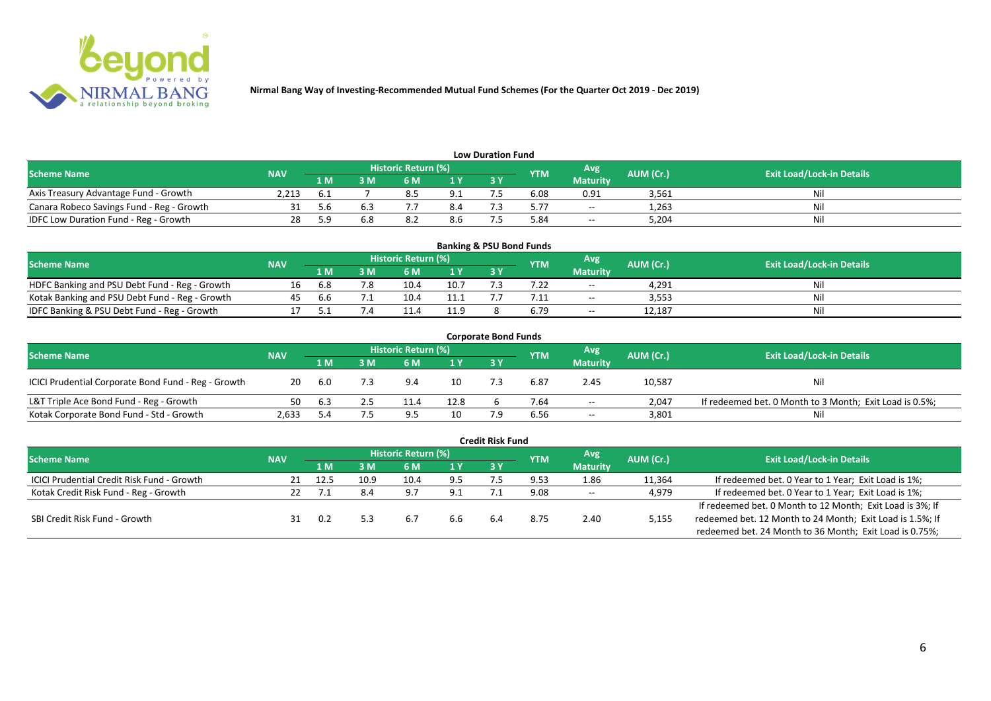

|                                           |            |     |     |                            |     | <b>Low Duration Fund</b> |            |                 |           |                                  |
|-------------------------------------------|------------|-----|-----|----------------------------|-----|--------------------------|------------|-----------------|-----------|----------------------------------|
| <b>Scheme Name</b>                        | <b>NAV</b> |     |     | <b>Historic Return (%)</b> |     |                          | <b>YTM</b> | <b>Avg</b>      | AUM (Cr.) | <b>Exit Load/Lock-in Details</b> |
|                                           |            | 1 M | 3 M |                            | 1Y  |                          |            | <b>Maturity</b> |           |                                  |
| Axis Treasury Advantage Fund - Growth     | 2.213      | 6.1 |     | 0.3                        | 9.1 |                          | 6.08       | 0.91            | 3,561     | Ni                               |
| Canara Robeco Savings Fund - Reg - Growth |            | 5.6 |     |                            | 8.4 |                          | 5.77       | $\sim$          | 1,263     |                                  |
| IDFC Low Duration Fund - Reg - Growth     |            | ۰Q  |     |                            | გ.ნ |                          | 84.ر       | $\sim$          | 5,204     | Ni.                              |

| <b>Banking &amp; PSU Bond Funds</b>            |            |     |     |                            |      |      |            |                 |           |                                  |  |  |  |
|------------------------------------------------|------------|-----|-----|----------------------------|------|------|------------|-----------------|-----------|----------------------------------|--|--|--|
| <b>Scheme Name</b>                             | <b>NAV</b> |     |     | <b>Historic Return (%)</b> |      |      | <b>YTM</b> | Avg             | AUM (Cr.) | <b>Exit Load/Lock-in Details</b> |  |  |  |
|                                                |            | 1 M | I M | 6 M                        |      | 73 Y |            | <b>Maturity</b> |           |                                  |  |  |  |
| HDFC Banking and PSU Debt Fund - Reg - Growth  |            | 6.8 |     | 10.4                       | 10.7 |      |            | $- -$           | 4,291     |                                  |  |  |  |
| Kotak Banking and PSU Debt Fund - Reg - Growth | 45         | b.b |     |                            |      |      |            | $- -$           | 3,553     | N                                |  |  |  |
| IDFC Banking & PSU Debt Fund - Reg - Growth    |            |     |     |                            | 11.9 |      | o.79       | $- -$           | 12,187    | Ni                               |  |  |  |

|                                                     |            |                                          |     |           |                                  | <b>Corporate Bond Funds</b> |      |                 |        |                                                         |
|-----------------------------------------------------|------------|------------------------------------------|-----|-----------|----------------------------------|-----------------------------|------|-----------------|--------|---------------------------------------------------------|
| <b>Scheme Name</b>                                  | <b>NAV</b> | Historic Return (%)<br>Avg<br><b>YTM</b> |     | AUM (Cr.) | <b>Exit Load/Lock-in Details</b> |                             |      |                 |        |                                                         |
|                                                     |            | 1 M                                      | 3 M | 6 M       | 1 <sup>Y</sup>                   | 3 Y                         |      | <b>Maturity</b> |        |                                                         |
| ICICI Prudential Corporate Bond Fund - Reg - Growth | 20         | -6.0                                     |     | 9.4       | 10                               |                             | 6.87 | 2.45            | 10,587 | Nil                                                     |
| L&T Triple Ace Bond Fund - Reg - Growth             | 50         | -6.3                                     |     |           | 12.8                             |                             | 7.64 | $- -$           | 2.047  | If redeemed bet. 0 Month to 3 Month; Exit Load is 0.5%; |
| Kotak Corporate Bond Fund - Std - Growth            | 2,633      |                                          |     | q ⊏       | 10                               |                             | 6.56 | $- -$           | 3,801  | Nil                                                     |

|                                            |            |      |      |                            |     | <b>Credit Risk Fund</b> |            |                 |           |                                                           |
|--------------------------------------------|------------|------|------|----------------------------|-----|-------------------------|------------|-----------------|-----------|-----------------------------------------------------------|
| <b>Scheme Name</b>                         | <b>NAV</b> |      |      | <b>Historic Return (%)</b> |     |                         | <b>YTM</b> | Avg             | AUM (Cr.) | <b>Exit Load/Lock-in Details</b>                          |
|                                            |            | 1 M  | 3 M  | 6 M                        | 1 Y | 3 Y                     |            | <b>Maturity</b> |           |                                                           |
| ICICI Prudential Credit Risk Fund - Growth |            | 12.5 | 10.9 | 10.4                       | 9.5 |                         | 9.53       | 1.86            | 11,364    | If redeemed bet. 0 Year to 1 Year; Exit Load is 1%;       |
| Kotak Credit Risk Fund - Reg - Growth      |            |      | 8.4  | 9.7                        | 9.1 |                         | 9.08       | $- -$           | 4,979     | If redeemed bet. 0 Year to 1 Year; Exit Load is 1%;       |
|                                            |            |      |      |                            |     |                         |            |                 |           | If redeemed bet. 0 Month to 12 Month; Exit Load is 3%; If |
| SBI Credit Risk Fund - Growth              |            | 0.2  |      | 6.7                        | 6.6 | 6.4                     | 8.75       | 2.40            | 5,155     | redeemed bet. 12 Month to 24 Month; Exit Load is 1.5%; If |
|                                            |            |      |      |                            |     |                         |            |                 |           | redeemed bet. 24 Month to 36 Month; Exit Load is 0.75%;   |